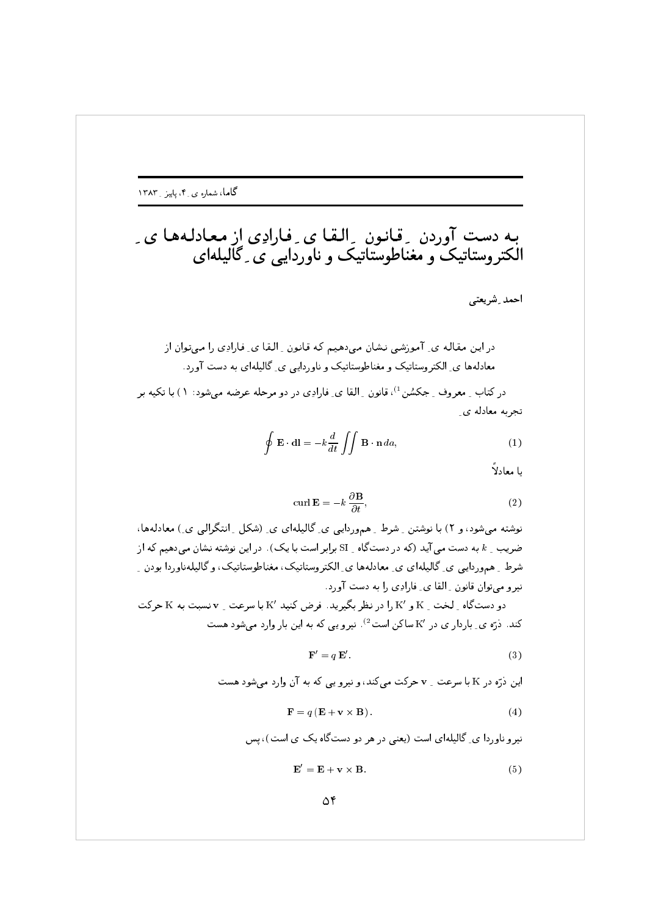احمد ِ شريعتي

در کتاب ِ معروف ِ جکسُن <sup>1</sup>)، قانون ِ القا ی ِ فارادِی در دو مرحله عرضه میشود: ١) با تکیه بر تجربه معادله ي

$$
\oint \mathbf{E} \cdot \mathbf{dl} = -k \frac{d}{dt} \iint \mathbf{B} \cdot \mathbf{n} \, da,
$$
\n(1)

يا معادلاً

$$
\operatorname{curl} \mathbf{E} = -k \frac{\partial \mathbf{B}}{\partial t},\tag{2}
$$

نوشته می شود، و ۲) با نوشتن ِ شرط ِ هموردایی ی ِ گالیلهای ی ِ (شکل ِ انتگرالی ی ِ) معادلهها، ضریب ۱ به دست می آید (که در دستگاه SI برابر است با یک) . در این نوشته نشان می دهیم که از شرط ِ همهوردایبی ی ِ گالیلهای ی ِ معادلهها ی ِ الکتروستاتیک، مغناطوستاتیک، و گالیلهناوردا بودن ِ نیرو میتوان قانون ِ القا ی ِ فارادِی را به دست آورد.

دو دستگاه \_ لخت \_ K و 'K را در نظر بگیرید. فرض کنید 'K با سرعت \_ v نسبت به K حرکت کند. دره ی ِ باردار ی در 'K ساکن است<sup>2</sup>). نیرو یی که به این بار وارد میشود هست

$$
\mathbf{F}' = q\,\mathbf{E}'.\tag{3}
$$

این ذرّه در K با سرعت \_ v حرکت می کند، و نیرو یی که به آن وارد می شود هست

$$
\mathbf{F} = q\left(\mathbf{E} + \mathbf{v} \times \mathbf{B}\right). \tag{4}
$$

نیرو ناوردا ی ِ گالیلهای است (یعنی در هر دو دستگاه یک ی است)، پس

$$
\mathbf{E}' = \mathbf{E} + \mathbf{v} \times \mathbf{B}.\tag{5}
$$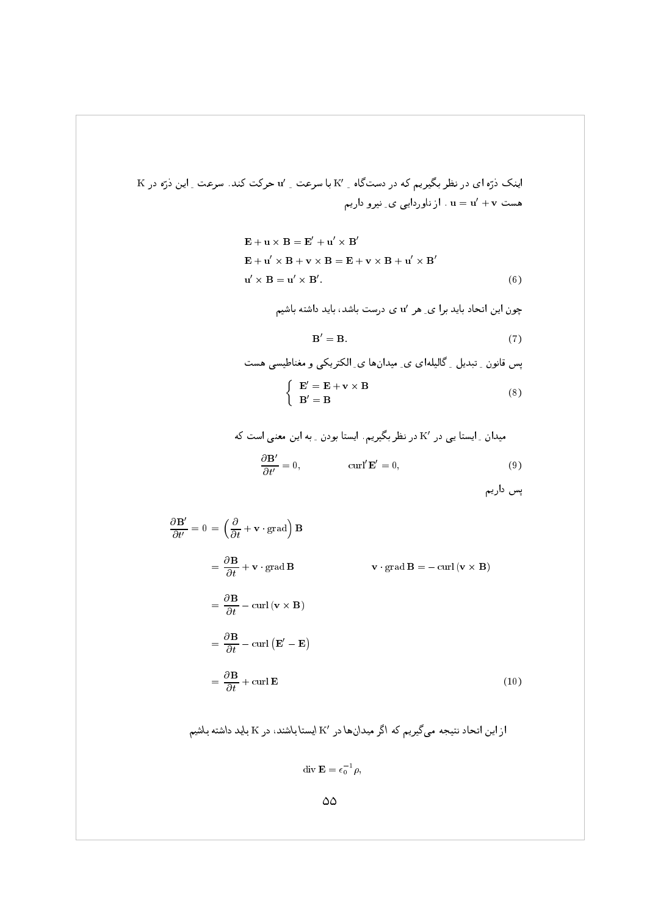$\rm K$  اینک ذرّه ای در نظر بگیریم که در دستگاه Mv با سرعت Mv حرکت کند. سرعت M این ذرّه در هست ${\bf u} = {\bf u}' + {\bf v} = {\bf u}'$  . از ناوردایی ی ِ نیرو داریم

$$
\mathbf{E} + \mathbf{u} \times \mathbf{B} = \mathbf{E}' + \mathbf{u}' \times \mathbf{B}'
$$
  
\n
$$
\mathbf{E} + \mathbf{u}' \times \mathbf{B} + \mathbf{v} \times \mathbf{B} = \mathbf{E} + \mathbf{v} \times \mathbf{B} + \mathbf{u}' \times \mathbf{B}'
$$
  
\n
$$
\mathbf{u}' \times \mathbf{B} = \mathbf{u}' \times \mathbf{B}'.
$$
 (6)

چون این اتحاد باید برا ی ِ هر 'u ی درست باشد، باید داشته باشیم

$$
\mathbf{B}' = \mathbf{B}.\tag{7}
$$

پس قانون ِ تبدیل ِ گالیلهای ی ِ میدانها ی ِ الکتریکی و مغناطیسی هست  $E' = E + v \times B$ 

$$
\left\{\begin{array}{c} \mathbf{B}' = \mathbf{B} \end{array}\right. \tag{8}
$$

میدان ۔ ایستا یی در 'X در نظر بگیریم. ایستا بودن ۔ به این معنی است که  
\n
$$
\frac{\partial \mathbf{B}'}{\partial t'} = 0,
$$
\n
$$
(9)
$$

پس داریم

$$
\frac{\partial \mathbf{B}'}{\partial t'} = 0 = \left(\frac{\partial}{\partial t} + \mathbf{v} \cdot \text{grad}\right) \mathbf{B}
$$
  
\n
$$
= \frac{\partial \mathbf{B}}{\partial t} + \mathbf{v} \cdot \text{grad } \mathbf{B}
$$
  
\n
$$
= \frac{\partial \mathbf{B}}{\partial t} - \text{curl} (\mathbf{v} \times \mathbf{B})
$$
  
\n
$$
= \frac{\partial \mathbf{B}}{\partial t} - \text{curl} (\mathbf{E}' - \mathbf{E})
$$
  
\n
$$
= \frac{\partial \mathbf{B}}{\partial t} + \text{curl } \mathbf{E}
$$
  
\n(10)

ار این اتحاد نتیجه می گیریم که اگر میدانها در 
$$
\mathbf{K}'
$$
 ایستا باشند، در  $\mathbf{K}$  باید داشته باشیم

$$
\operatorname{div} \mathbf{E} = \epsilon_0^{-1} \rho,
$$